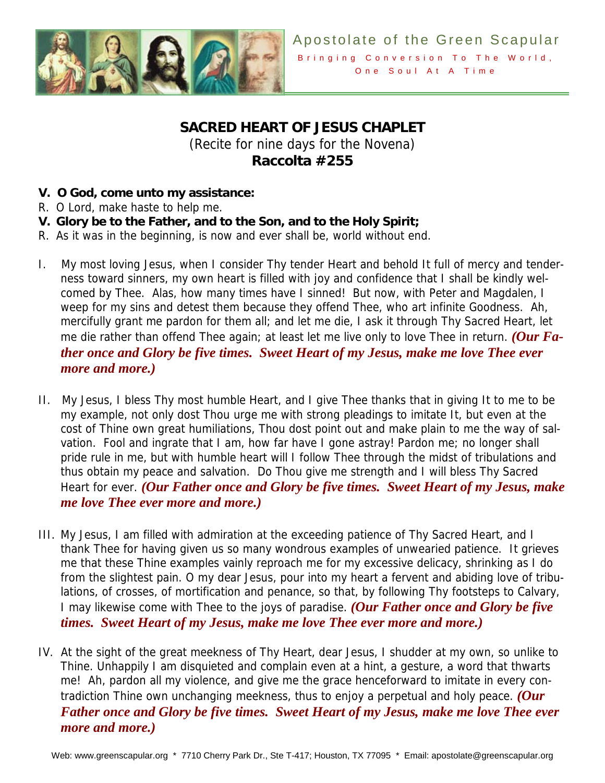

## **SACRED HEART OF JESUS CHAPLET**

(Recite for nine days for the Novena) **Raccolta #255** 

- **V. O God, come unto my assistance:**
- R. O Lord, make haste to help me.
- **V. Glory be to the Father, and to the Son, and to the Holy Spirit;**
- R. As it was in the beginning, is now and ever shall be, world without end.
- I. My most loving Jesus, when I consider Thy tender Heart and behold It full of mercy and tenderness toward sinners, my own heart is filled with joy and confidence that I shall be kindly welcomed by Thee. Alas, how many times have I sinned! But now, with Peter and Magdalen, I weep for my sins and detest them because they offend Thee, who art infinite Goodness. Ah, mercifully grant me pardon for them all; and let me die, I ask it through Thy Sacred Heart, let me die rather than offend Thee again; at least let me live only to love Thee in return. *(Our Father once and Glory be five times. Sweet Heart of my Jesus, make me love Thee ever more and more.)*
- II. My Jesus, I bless Thy most humble Heart, and I give Thee thanks that in giving It to me to be my example, not only dost Thou urge me with strong pleadings to imitate It, but even at the cost of Thine own great humiliations, Thou dost point out and make plain to me the way of salvation. Fool and ingrate that I am, how far have I gone astray! Pardon me; no longer shall pride rule in me, but with humble heart will I follow Thee through the midst of tribulations and thus obtain my peace and salvation. Do Thou give me strength and I will bless Thy Sacred Heart for ever. *(Our Father once and Glory be five times. Sweet Heart of my Jesus, make me love Thee ever more and more.)*
- III. My Jesus, I am filled with admiration at the exceeding patience of Thy Sacred Heart, and I thank Thee for having given us so many wondrous examples of unwearied patience. It grieves me that these Thine examples vainly reproach me for my excessive delicacy, shrinking as I do from the slightest pain. O my dear Jesus, pour into my heart a fervent and abiding love of tribulations, of crosses, of mortification and penance, so that, by following Thy footsteps to Calvary, I may likewise come with Thee to the joys of paradise. *(Our Father once and Glory be five times. Sweet Heart of my Jesus, make me love Thee ever more and more.)*
- IV. At the sight of the great meekness of Thy Heart, dear Jesus, I shudder at my own, so unlike to Thine. Unhappily I am disquieted and complain even at a hint, a gesture, a word that thwarts me! Ah, pardon all my violence, and give me the grace henceforward to imitate in every contradiction Thine own unchanging meekness, thus to enjoy a perpetual and holy peace. *(Our Father once and Glory be five times. Sweet Heart of my Jesus, make me love Thee ever more and more.)*